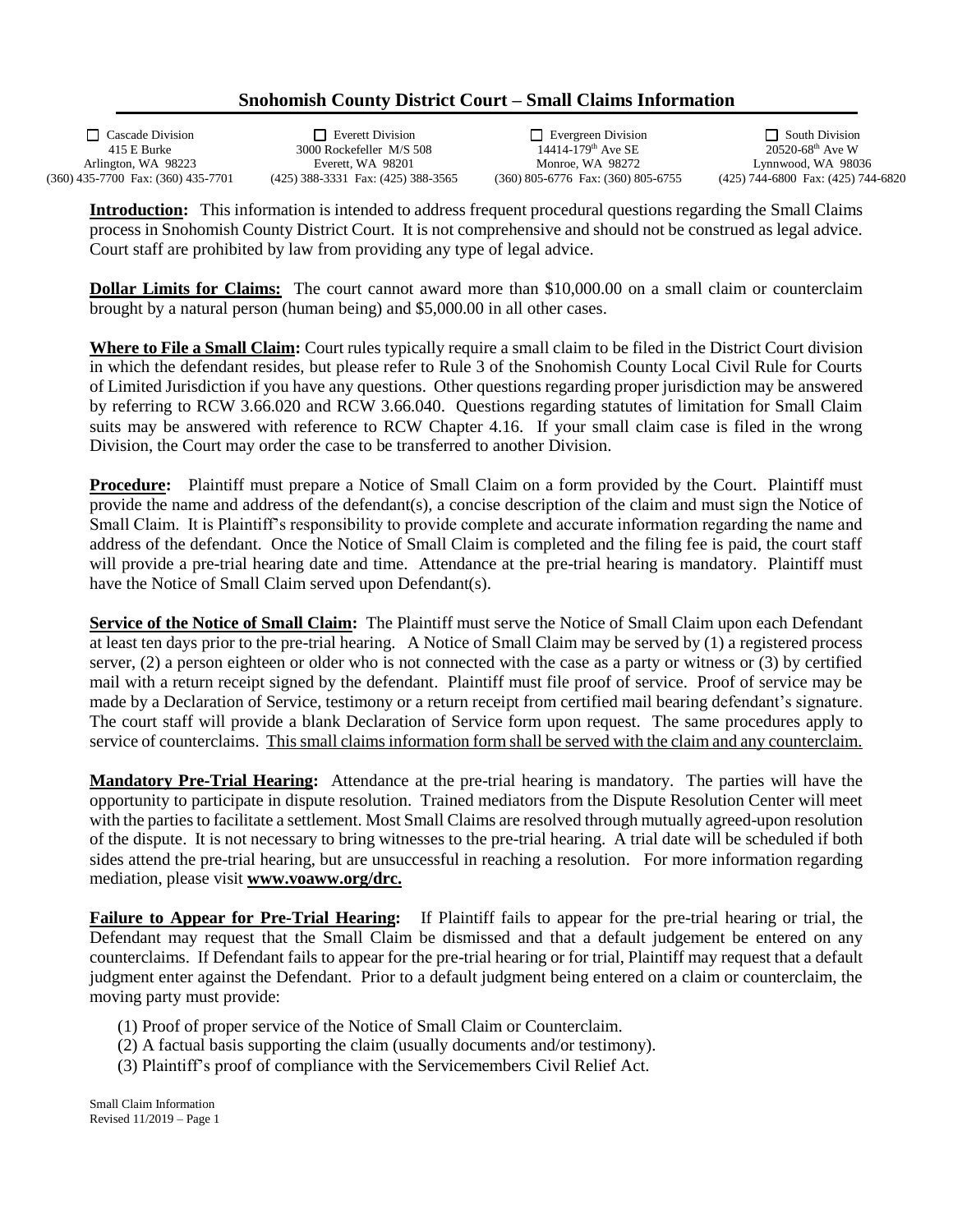## **Snohomish County District Court – Small Claims Information**

Arlington, WA 98223 Everett, WA 98201 Monroe, WA 98272 Lynnwood, WA 98036<br>(360) 435-7700 Fax: (360) 435-7701 (425) 388-3331 Fax: (425) 388-3565 (360) 805-6776 Fax: (360) 805-6755 (425) 744-6800 Fax: (425) 744-6820

415 E Burke 3000 Rockefeller M/S 508 (425) 388-3331 Fax: (425) 388-3565

Cascade Division Everett Division Evergreen Division South Division

**Introduction:** This information is intended to address frequent procedural questions regarding the Small Claims process in Snohomish County District Court. It is not comprehensive and should not be construed as legal advice. Court staff are prohibited by law from providing any type of legal advice.

**Dollar Limits for Claims:** The court cannot award more than \$10,000.00 on a small claim or counterclaim brought by a natural person (human being) and \$5,000.00 in all other cases.

**Where to File a Small Claim:** Court rules typically require a small claim to be filed in the District Court division in which the defendant resides, but please refer to Rule 3 of the Snohomish County Local Civil Rule for Courts of Limited Jurisdiction if you have any questions. Other questions regarding proper jurisdiction may be answered by referring to RCW 3.66.020 and RCW 3.66.040. Questions regarding statutes of limitation for Small Claim suits may be answered with reference to RCW Chapter 4.16. If your small claim case is filed in the wrong Division, the Court may order the case to be transferred to another Division.

**Procedure:** Plaintiff must prepare a Notice of Small Claim on a form provided by the Court. Plaintiff must provide the name and address of the defendant(s), a concise description of the claim and must sign the Notice of Small Claim. It is Plaintiff's responsibility to provide complete and accurate information regarding the name and address of the defendant. Once the Notice of Small Claim is completed and the filing fee is paid, the court staff will provide a pre-trial hearing date and time. Attendance at the pre-trial hearing is mandatory. Plaintiff must have the Notice of Small Claim served upon Defendant(s).

**Service of the Notice of Small Claim:** The Plaintiff must serve the Notice of Small Claim upon each Defendant at least ten days prior to the pre-trial hearing. A Notice of Small Claim may be served by (1) a registered process server, (2) a person eighteen or older who is not connected with the case as a party or witness or (3) by certified mail with a return receipt signed by the defendant. Plaintiff must file proof of service. Proof of service may be made by a Declaration of Service, testimony or a return receipt from certified mail bearing defendant's signature. The court staff will provide a blank Declaration of Service form upon request. The same procedures apply to service of counterclaims. This small claims information form shall be served with the claim and any counterclaim.

**Mandatory Pre-Trial Hearing:** Attendance at the pre-trial hearing is mandatory. The parties will have the opportunity to participate in dispute resolution. Trained mediators from the Dispute Resolution Center will meet with the parties to facilitate a settlement. Most Small Claims are resolved through mutually agreed-upon resolution of the dispute. It is not necessary to bring witnesses to the pre-trial hearing. A trial date will be scheduled if both sides attend the pre-trial hearing, but are unsuccessful in reaching a resolution. For more information regarding mediation, please visit **www.voaww.org/drc.**

**Failure to Appear for Pre-Trial Hearing:** If Plaintiff fails to appear for the pre-trial hearing or trial, the Defendant may request that the Small Claim be dismissed and that a default judgement be entered on any counterclaims. If Defendant fails to appear for the pre-trial hearing or for trial, Plaintiff may request that a default judgment enter against the Defendant. Prior to a default judgment being entered on a claim or counterclaim, the moving party must provide:

- (1) Proof of proper service of the Notice of Small Claim or Counterclaim.
- (2) A factual basis supporting the claim (usually documents and/or testimony).
- (3) Plaintiff's proof of compliance with the Servicemembers Civil Relief Act.

Small Claim Information Revised 11/2019 – Page 1